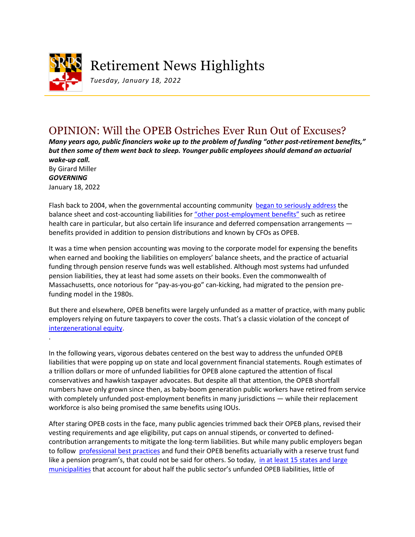

## Retirement News Highlights

*Tuesday, January 18, 2022*

## OPINION: Will the OPEB Ostriches Ever Run Out of Excuses?

*Many years ago, public financiers woke up to the problem of funding "other post-retirement benefits," but then some of them went back to sleep. Younger public employees should demand an actuarial wake-up call.*

By Girard Miller *GOVERNING* January 18, 2022

.

Flash back to 2004, when the governmental accounting community [began to seriously address](https://www.gasb.org/st/status/gstst45.html) the balance sheet and cost-accounting liabilities for ["other post-employment benefits"](https://www.gasb.org/jsp/GASB/Page/GASBBridgePage&cid=1176164129754) such as retiree health care in particular, but also certain life insurance and deferred compensation arrangements benefits provided in addition to pension distributions and known by CFOs as OPEB.

It was a time when pension accounting was moving to the corporate model for expensing the benefits when earned and booking the liabilities on employers' balance sheets, and the practice of actuarial funding through pension reserve funds was well established. Although most systems had unfunded pension liabilities, they at least had some assets on their books. Even the commonwealth of Massachusetts, once notorious for "pay-as-you-go" can-kicking, had migrated to the pension prefunding model in the 1980s.

But there and elsewhere, OPEB benefits were largely unfunded as a matter of practice, with many public employers relying on future taxpayers to cover the costs. That's a classic violation of the concept of [intergenerational equity.](https://www.civicfed.org/civic-federation/blog/why-intergenerational-equity-matters-taxpayers)

In the following years, vigorous debates centered on the best way to address the unfunded OPEB liabilities that were popping up on state and local government financial statements. Rough estimates of a trillion dollars or more of unfunded liabilities for OPEB alone captured the attention of fiscal conservatives and hawkish taxpayer advocates. But despite all that attention, the OPEB shortfall numbers have only grown since then, as baby-boom generation public workers have retired from service with completely unfunded post-employment benefits in many jurisdictions — while their replacement workforce is also being promised the same benefits using IOUs.

After staring OPEB costs in the face, many public agencies trimmed back their OPEB plans, revised their vesting requirements and age eligibility, put caps on annual stipends, or converted to definedcontribution arrangements to mitigate the long-term liabilities. But while many public employers began to follow [professional best practices](https://www.gfoa.org/materials/sustainable-funding-practices-for-defined-benefit-pensions) and fund their OPEB benefits actuarially with a reserve trust fund like a pension program's, that could not be said for others. So today, [in at least 15 states and large](https://reason.org/policy-study/survey-of-state-and-local-government-other-post-employment-benefit-liabilities/)  [municipalities](https://reason.org/policy-study/survey-of-state-and-local-government-other-post-employment-benefit-liabilities/) that account for about half the public sector's unfunded OPEB liabilities, little of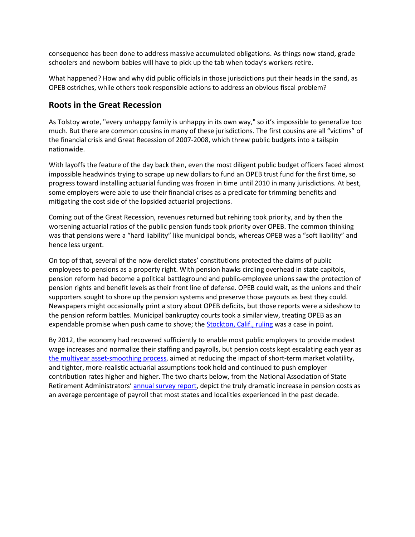consequence has been done to address massive accumulated obligations. As things now stand, grade schoolers and newborn babies will have to pick up the tab when today's workers retire.

What happened? How and why did public officials in those jurisdictions put their heads in the sand, as OPEB ostriches, while others took responsible actions to address an obvious fiscal problem?

## **Roots in the Great Recession**

As Tolstoy wrote, "every unhappy family is unhappy in its own way," so it's impossible to generalize too much. But there are common cousins in many of these jurisdictions. The first cousins are all "victims" of the financial crisis and Great Recession of 2007-2008, which threw public budgets into a tailspin nationwide.

With layoffs the feature of the day back then, even the most diligent public budget officers faced almost impossible headwinds trying to scrape up new dollars to fund an OPEB trust fund for the first time, so progress toward installing actuarial funding was frozen in time until 2010 in many jurisdictions. At best, some employers were able to use their financial crises as a predicate for trimming benefits and mitigating the cost side of the lopsided actuarial projections.

Coming out of the Great Recession, revenues returned but rehiring took priority, and by then the worsening actuarial ratios of the public pension funds took priority over OPEB. The common thinking was that pensions were a "hard liability" like municipal bonds, whereas OPEB was a "soft liability" and hence less urgent.

On top of that, several of the now-derelict states' constitutions protected the claims of public employees to pensions as a property right. With pension hawks circling overhead in state capitols, pension reform had become a political battleground and public-employee unions saw the protection of pension rights and benefit levels as their front line of defense. OPEB could wait, as the unions and their supporters sought to shore up the pension systems and preserve those payouts as best they could. Newspapers might occasionally print a story about OPEB deficits, but those reports were a sideshow to the pension reform battles. Municipal bankruptcy courts took a similar view, treating OPEB as an expendable promise when push came to shove; the [Stockton, Calif., ruling](https://dealbook.nytimes.com/2014/10/30/judge-approves-bankruptcy-exit-for-stockton-calif) was a case in point.

By 2012, the economy had recovered sufficiently to enable most public employers to provide modest wage increases and normalize their staffing and payrolls, but pension costs kept escalating each year as [the multiyear asset-smoothing process,](https://www.ccactuaries.org/docs/default-source/papers/cca-ppc_actuarial-funding-policies-and-practices-for-public-pension-plans.pdf?sfvrsn=6397cc76_6) aimed at reducing the impact of short-term market volatility, and tighter, more-realistic actuarial assumptions took hold and continued to push employer contribution rates higher and higher. The two charts below, from the National Association of State Retirement Administrators' [annual survey report,](https://www.nasra.org/publicfundsurvey) depict the truly dramatic increase in pension costs as an average percentage of payroll that most states and localities experienced in the past decade.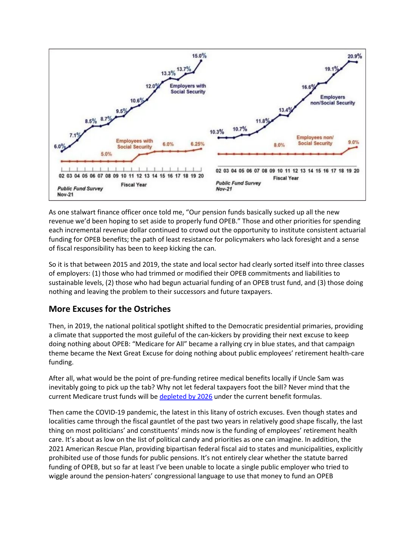

As one stalwart finance officer once told me, "Our pension funds basically sucked up all the new revenue we'd been hoping to set aside to properly fund OPEB." Those and other priorities for spending each incremental revenue dollar continued to crowd out the opportunity to institute consistent actuarial funding for OPEB benefits; the path of least resistance for policymakers who lack foresight and a sense of fiscal responsibility has been to keep kicking the can.

So it is that between 2015 and 2019, the state and local sector had clearly sorted itself into three classes of employers: (1) those who had trimmed or modified their OPEB commitments and liabilities to sustainable levels, (2) those who had begun actuarial funding of an OPEB trust fund, and (3) those doing nothing and leaving the problem to their successors and future taxpayers.

## **More Excuses for the Ostriches**

Then, in 2019, the national political spotlight shifted to the Democratic presidential primaries, providing a climate that supported the most guileful of the can-kickers by providing their next excuse to keep doing nothing about OPEB: "Medicare for All" became a rallying cry in blue states, and that campaign theme became the Next Great Excuse for doing nothing about public employees' retirement health-care funding.

After all, what would be the point of pre-funding retiree medical benefits locally if Uncle Sam was inevitably going to pick up the tab? Why not let federal taxpayers foot the bill? Never mind that the current Medicare trust funds will be [depleted by 2026](https://www.kff.org/medicare/issue-brief/faqs-on-medicare-financing-and-trust-fund-solvency/) under the current benefit formulas.

Then came the COVID-19 pandemic, the latest in this litany of ostrich excuses. Even though states and localities came through the fiscal gauntlet of the past two years in relatively good shape fiscally, the last thing on most politicians' and constituents' minds now is the funding of employees' retirement health care. It's about as low on the list of political candy and priorities as one can imagine. In addition, the 2021 American Rescue Plan, providing bipartisan federal fiscal aid to states and municipalities, explicitly prohibited use of those funds for public pensions. It's not entirely clear whether the statute barred funding of OPEB, but so far at least I've been unable to locate a single public employer who tried to wiggle around the pension-haters' congressional language to use that money to fund an OPEB